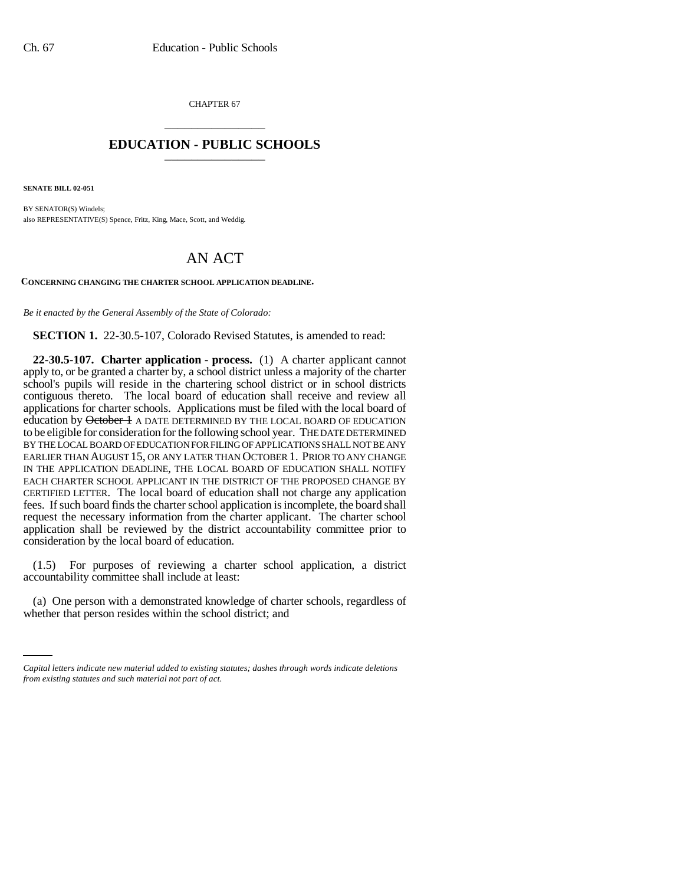CHAPTER 67 \_\_\_\_\_\_\_\_\_\_\_\_\_\_\_

## **EDUCATION - PUBLIC SCHOOLS** \_\_\_\_\_\_\_\_\_\_\_\_\_\_\_

**SENATE BILL 02-051**

BY SENATOR(S) Windels; also REPRESENTATIVE(S) Spence, Fritz, King, Mace, Scott, and Weddig.

## AN ACT

**CONCERNING CHANGING THE CHARTER SCHOOL APPLICATION DEADLINE.**

*Be it enacted by the General Assembly of the State of Colorado:*

**SECTION 1.** 22-30.5-107, Colorado Revised Statutes, is amended to read:

**22-30.5-107. Charter application - process.** (1) A charter applicant cannot apply to, or be granted a charter by, a school district unless a majority of the charter school's pupils will reside in the chartering school district or in school districts contiguous thereto. The local board of education shall receive and review all applications for charter schools. Applications must be filed with the local board of education by October 1 A DATE DETERMINED BY THE LOCAL BOARD OF EDUCATION to be eligible for consideration for the following school year. THE DATE DETERMINED BY THE LOCAL BOARD OF EDUCATION FOR FILING OF APPLICATIONS SHALL NOT BE ANY EARLIER THAN AUGUST 15, OR ANY LATER THAN OCTOBER 1. PRIOR TO ANY CHANGE IN THE APPLICATION DEADLINE, THE LOCAL BOARD OF EDUCATION SHALL NOTIFY EACH CHARTER SCHOOL APPLICANT IN THE DISTRICT OF THE PROPOSED CHANGE BY CERTIFIED LETTER. The local board of education shall not charge any application fees. If such board finds the charter school application is incomplete, the board shall request the necessary information from the charter applicant. The charter school application shall be reviewed by the district accountability committee prior to consideration by the local board of education.

(1.5) For purposes of reviewing a charter school application, a district accountability committee shall include at least:

(a) One person with a demonstrated knowledge of charter schools, regardless of whether that person resides within the school district; and

*Capital letters indicate new material added to existing statutes; dashes through words indicate deletions from existing statutes and such material not part of act.*